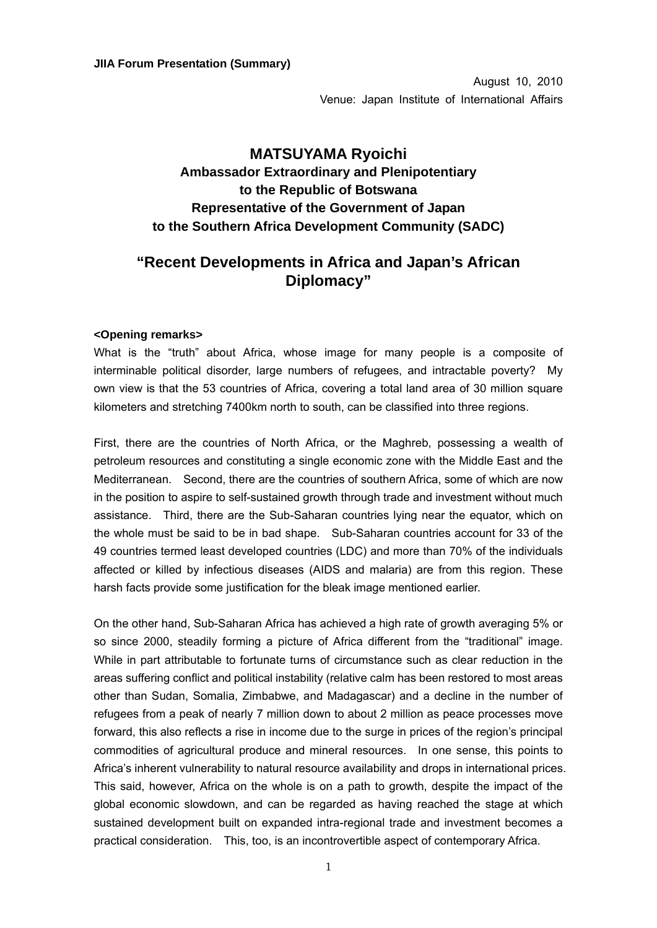August 10, 2010 Venue: Japan Institute of International Affairs

## **MATSUYAMA Ryoichi Ambassador Extraordinary and Plenipotentiary to the Republic of Botswana Representative of the Government of Japan to the Southern Africa Development Community (SADC)**

## **"Recent Developments in Africa and Japan's African Diplomacy"**

## **<Opening remarks>**

What is the "truth" about Africa, whose image for many people is a composite of interminable political disorder, large numbers of refugees, and intractable poverty? My own view is that the 53 countries of Africa, covering a total land area of 30 million square kilometers and stretching 7400km north to south, can be classified into three regions.

First, there are the countries of North Africa, or the Maghreb, possessing a wealth of petroleum resources and constituting a single economic zone with the Middle East and the Mediterranean. Second, there are the countries of southern Africa, some of which are now in the position to aspire to self-sustained growth through trade and investment without much assistance. Third, there are the Sub-Saharan countries lying near the equator, which on the whole must be said to be in bad shape. Sub-Saharan countries account for 33 of the 49 countries termed least developed countries (LDC) and more than 70% of the individuals affected or killed by infectious diseases (AIDS and malaria) are from this region. These harsh facts provide some justification for the bleak image mentioned earlier.

On the other hand, Sub-Saharan Africa has achieved a high rate of growth averaging 5% or so since 2000, steadily forming a picture of Africa different from the "traditional" image. While in part attributable to fortunate turns of circumstance such as clear reduction in the areas suffering conflict and political instability (relative calm has been restored to most areas other than Sudan, Somalia, Zimbabwe, and Madagascar) and a decline in the number of refugees from a peak of nearly 7 million down to about 2 million as peace processes move forward, this also reflects a rise in income due to the surge in prices of the region's principal commodities of agricultural produce and mineral resources. In one sense, this points to Africa's inherent vulnerability to natural resource availability and drops in international prices. This said, however, Africa on the whole is on a path to growth, despite the impact of the global economic slowdown, and can be regarded as having reached the stage at which sustained development built on expanded intra-regional trade and investment becomes a practical consideration. This, too, is an incontrovertible aspect of contemporary Africa.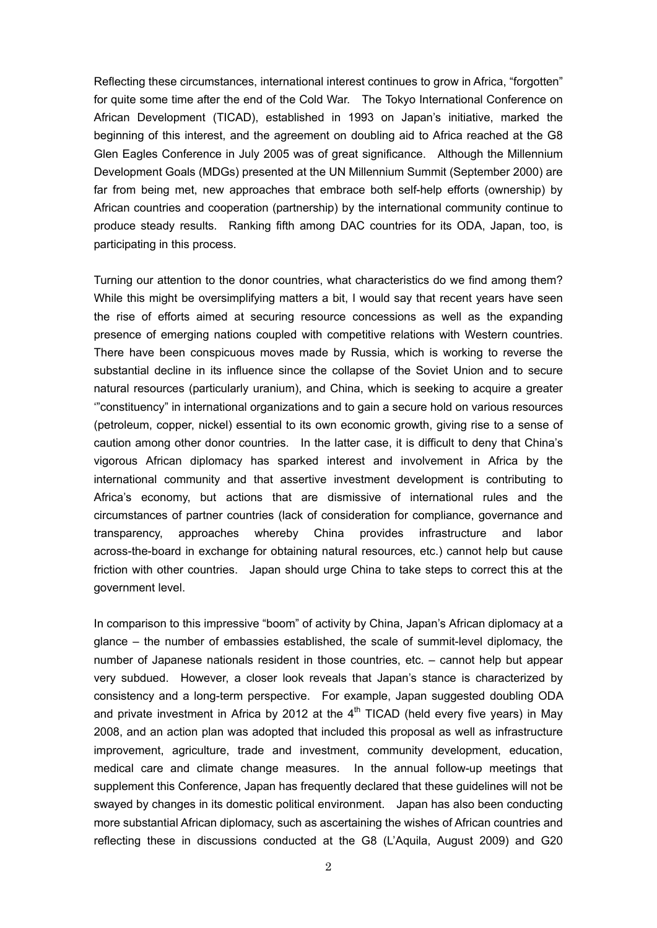Reflecting these circumstances, international interest continues to grow in Africa, "forgotten" for quite some time after the end of the Cold War. The Tokyo International Conference on African Development (TICAD), established in 1993 on Japan's initiative, marked the beginning of this interest, and the agreement on doubling aid to Africa reached at the G8 Glen Eagles Conference in July 2005 was of great significance. Although the Millennium Development Goals (MDGs) presented at the UN Millennium Summit (September 2000) are far from being met, new approaches that embrace both self-help efforts (ownership) by African countries and cooperation (partnership) by the international community continue to produce steady results. Ranking fifth among DAC countries for its ODA, Japan, too, is participating in this process.

Turning our attention to the donor countries, what characteristics do we find among them? While this might be oversimplifying matters a bit, I would say that recent years have seen the rise of efforts aimed at securing resource concessions as well as the expanding presence of emerging nations coupled with competitive relations with Western countries. There have been conspicuous moves made by Russia, which is working to reverse the substantial decline in its influence since the collapse of the Soviet Union and to secure natural resources (particularly uranium), and China, which is seeking to acquire a greater '"constituency" in international organizations and to gain a secure hold on various resources (petroleum, copper, nickel) essential to its own economic growth, giving rise to a sense of caution among other donor countries. In the latter case, it is difficult to deny that China's vigorous African diplomacy has sparked interest and involvement in Africa by the international community and that assertive investment development is contributing to Africa's economy, but actions that are dismissive of international rules and the circumstances of partner countries (lack of consideration for compliance, governance and transparency, approaches whereby China provides infrastructure and labor across-the-board in exchange for obtaining natural resources, etc.) cannot help but cause friction with other countries. Japan should urge China to take steps to correct this at the government level.

In comparison to this impressive "boom" of activity by China, Japan's African diplomacy at a glance – the number of embassies established, the scale of summit-level diplomacy, the number of Japanese nationals resident in those countries, etc. – cannot help but appear very subdued. However, a closer look reveals that Japan's stance is characterized by consistency and a long-term perspective. For example, Japan suggested doubling ODA and private investment in Africa by 2012 at the  $4<sup>th</sup>$  TICAD (held every five years) in May 2008, and an action plan was adopted that included this proposal as well as infrastructure improvement, agriculture, trade and investment, community development, education, medical care and climate change measures. In the annual follow-up meetings that supplement this Conference, Japan has frequently declared that these guidelines will not be swayed by changes in its domestic political environment. Japan has also been conducting more substantial African diplomacy, such as ascertaining the wishes of African countries and reflecting these in discussions conducted at the G8 (L'Aquila, August 2009) and G20